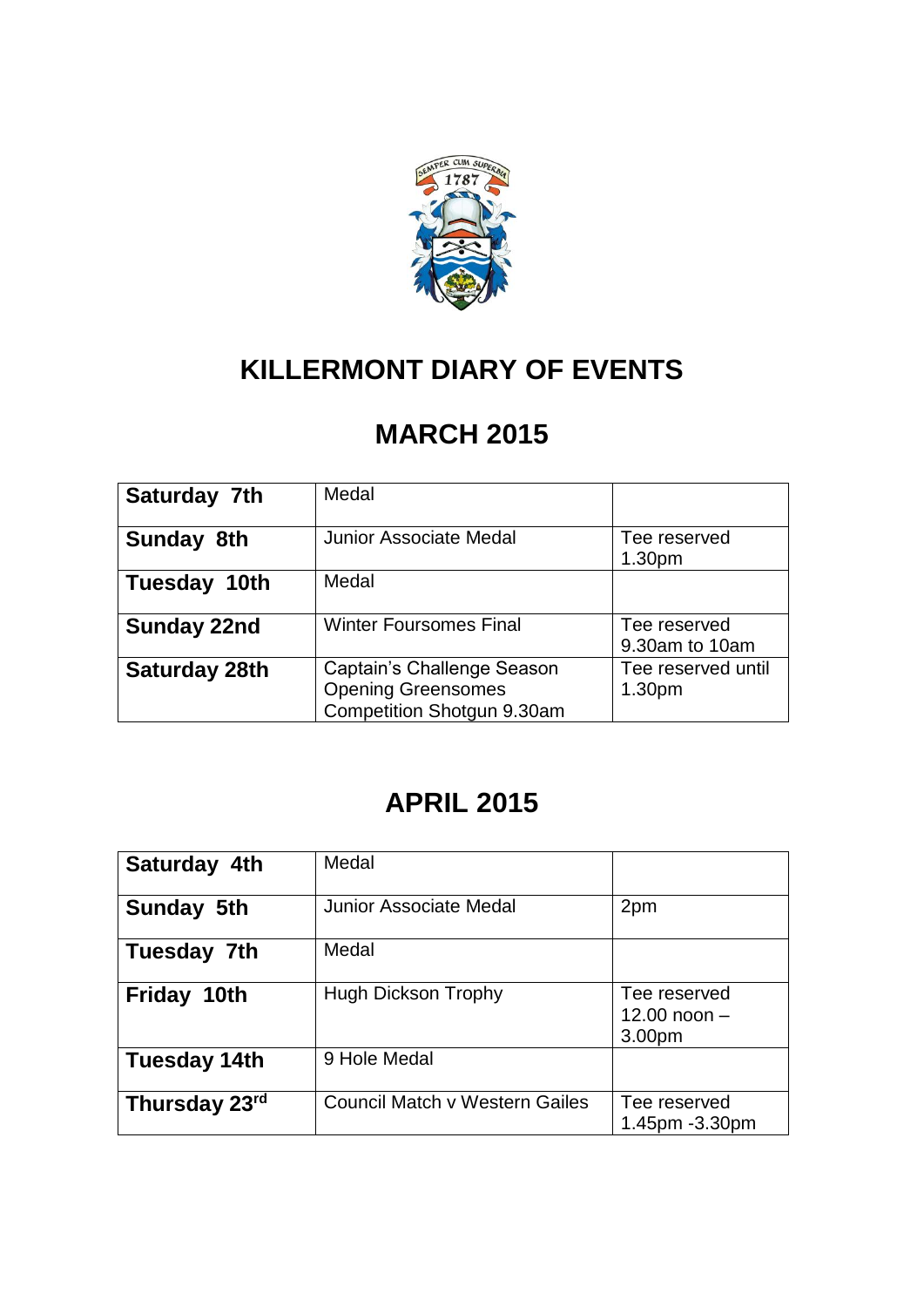

## **KILLERMONT DIARY OF EVENTS**

## **MARCH 2015**

| Saturday 7th         | Medal                                                                                 |                                          |
|----------------------|---------------------------------------------------------------------------------------|------------------------------------------|
| Sunday 8th           | <b>Junior Associate Medal</b>                                                         | Tee reserved<br>1.30 <sub>pm</sub>       |
| Tuesday 10th         | Medal                                                                                 |                                          |
| <b>Sunday 22nd</b>   | <b>Winter Foursomes Final</b>                                                         | Tee reserved<br>9.30am to 10am           |
| <b>Saturday 28th</b> | Captain's Challenge Season<br><b>Opening Greensomes</b><br>Competition Shotgun 9.30am | Tee reserved until<br>1.30 <sub>pm</sub> |

## **APRIL 2015**

| Saturday 4th  | Medal                          |                                                      |
|---------------|--------------------------------|------------------------------------------------------|
| Sunday 5th    | <b>Junior Associate Medal</b>  | 2pm                                                  |
| Tuesday 7th   | Medal                          |                                                      |
| Friday 10th   | <b>Hugh Dickson Trophy</b>     | Tee reserved<br>12.00 noon $-$<br>3.00 <sub>pm</sub> |
| Tuesday 14th  | 9 Hole Medal                   |                                                      |
| Thursday 23rd | Council Match v Western Gailes | Tee reserved<br>1.45pm -3.30pm                       |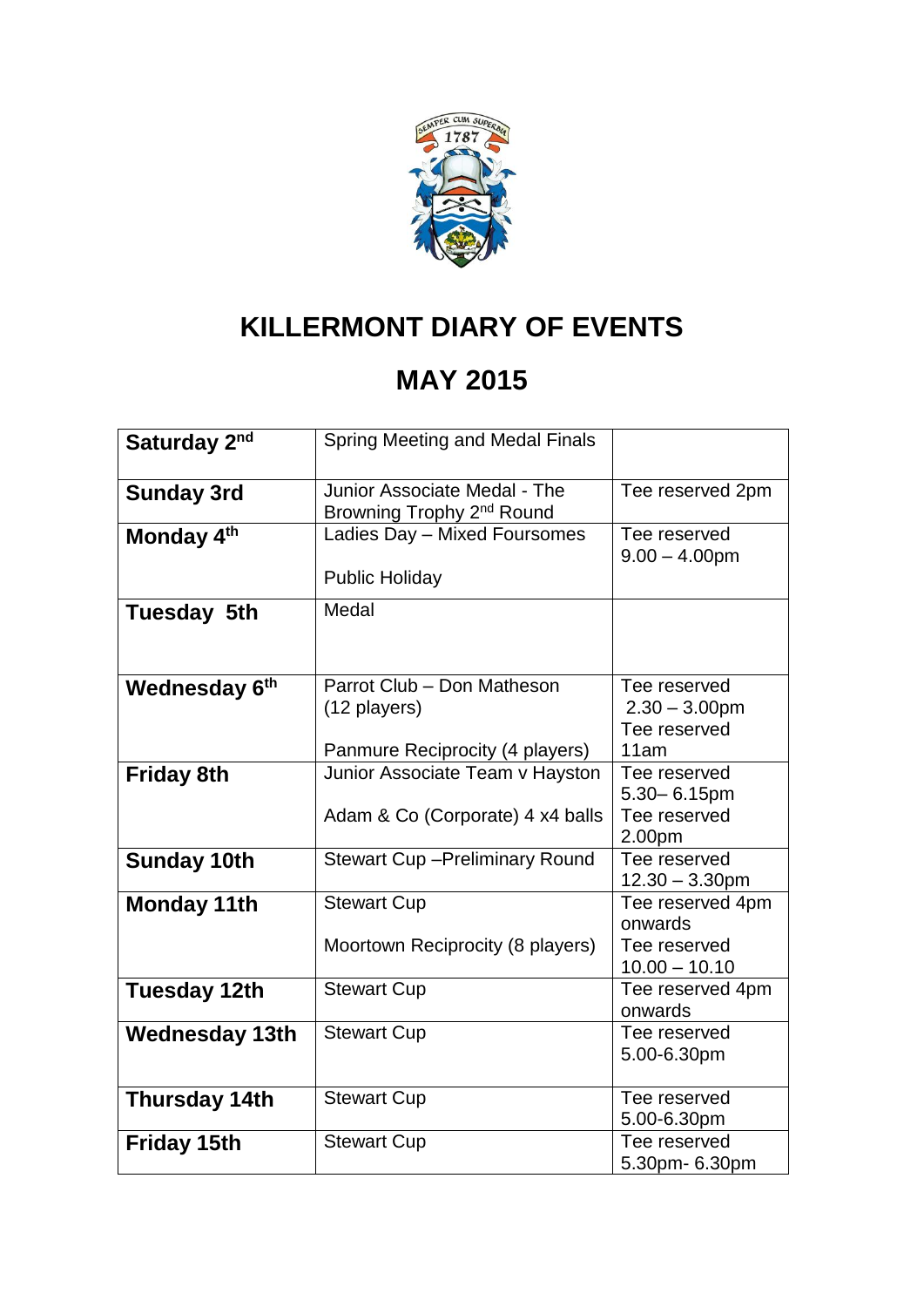

# **KILLERMONT DIARY OF EVENTS**

## **MAY 2015**

| Saturday 2nd              | Spring Meeting and Medal Finals                                               |                                                                |
|---------------------------|-------------------------------------------------------------------------------|----------------------------------------------------------------|
| <b>Sunday 3rd</b>         | Junior Associate Medal - The<br>Browning Trophy 2 <sup>nd</sup> Round         | Tee reserved 2pm                                               |
| Monday 4 <sup>th</sup>    | Ladies Day - Mixed Foursomes<br><b>Public Holiday</b>                         | Tee reserved<br>$9.00 - 4.00$ pm                               |
| <b>Tuesday 5th</b>        | Medal                                                                         |                                                                |
| Wednesday 6 <sup>th</sup> | Parrot Club - Don Matheson<br>(12 players)<br>Panmure Reciprocity (4 players) | Tee reserved<br>$2.30 - 3.00$ pm<br>Tee reserved<br>11am       |
| <b>Friday 8th</b>         | Junior Associate Team v Hayston<br>Adam & Co (Corporate) 4 x4 balls           | Tee reserved<br>$5.30 - 6.15$ pm<br>Tee reserved<br>2.00pm     |
| <b>Sunday 10th</b>        | <b>Stewart Cup-Preliminary Round</b>                                          | Tee reserved<br>$12.30 - 3.30$ pm                              |
| <b>Monday 11th</b>        | <b>Stewart Cup</b><br>Moortown Reciprocity (8 players)                        | Tee reserved 4pm<br>onwards<br>Tee reserved<br>$10.00 - 10.10$ |
| <b>Tuesday 12th</b>       | <b>Stewart Cup</b>                                                            | Tee reserved 4pm<br>onwards                                    |
| <b>Wednesday 13th</b>     | <b>Stewart Cup</b>                                                            | Tee reserved<br>5.00-6.30pm                                    |
| <b>Thursday 14th</b>      | <b>Stewart Cup</b>                                                            | Tee reserved<br>5.00-6.30pm                                    |
| <b>Friday 15th</b>        | <b>Stewart Cup</b>                                                            | Tee reserved<br>5.30pm- 6.30pm                                 |